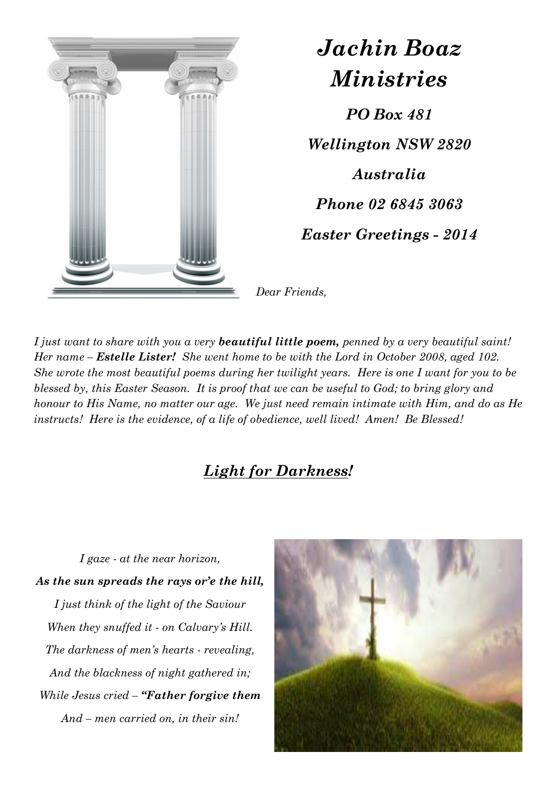

## *Jachin Boaz Ministries*

*PO Box 481 Wellington NSW 2820 Australia Phone 02 6845 3063 Easter Greetings - 2014* 

*Dear Friends,* 

*I just want to share with you a very beautiful little poem, penned by a very beautiful saint! Her name – Estelle Lister! She went home to be with the Lord in October 2008, aged 102. She wrote the most beautiful poems during her twilight years. Here is one I want for you to be blessed by, this Easter Season. It is proof that we can be useful to God; to bring glory and honour to His Name, no matter our age. We just need remain intimate with Him, and do as He instructs! Here is the evidence, of a life of obedience, well lived! Amen! Be Blessed!* 

## *Light for Darkness!*

*I gaze - at the near horizon, As the sun spreads the rays or'e the hill, I just think of the light of the Saviour When they snuffed it - on Calvary's Hill. The darkness of men's hearts - revealing, And the blackness of night gathered in; While Jesus cried – "Father forgive them And – men carried on, in their sin!*